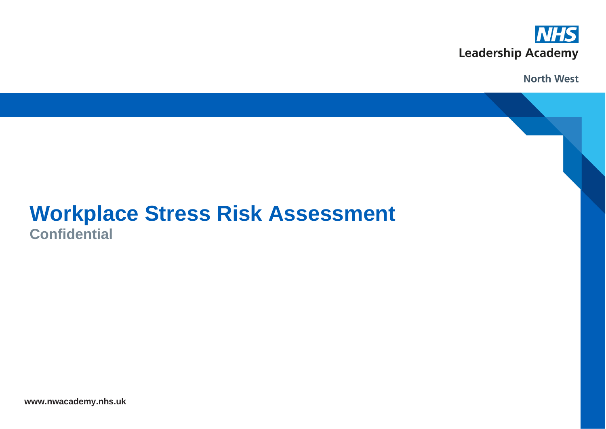

**North West** 

## **Workplace Stress Risk Assessment Confidential**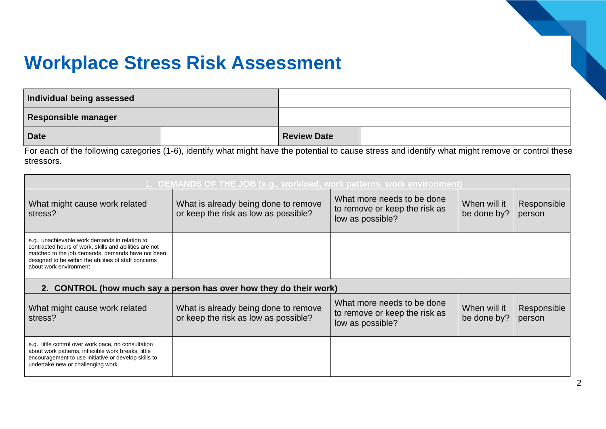## **Workplace Stress Risk Assessment**

| Individual being assessed  |  |                    |  |
|----------------------------|--|--------------------|--|
| <b>Responsible manager</b> |  |                    |  |
| <b>Date</b>                |  | <b>Review Date</b> |  |

For each of the following categories (1-6), identify what might have the potential to cause stress and identify what might remove or control these stressors.

| 1. DEMANDS OF THE JOB (e.g., workload, work patterns, work environment)                                                                                                                                                                          |                                                                              |                                                                                 |                             |                       |  |  |
|--------------------------------------------------------------------------------------------------------------------------------------------------------------------------------------------------------------------------------------------------|------------------------------------------------------------------------------|---------------------------------------------------------------------------------|-----------------------------|-----------------------|--|--|
| What might cause work related<br>stress?                                                                                                                                                                                                         | What is already being done to remove<br>or keep the risk as low as possible? | What more needs to be done<br>to remove or keep the risk as<br>low as possible? | When will it<br>be done by? | Responsible<br>person |  |  |
| e.g., unachievable work demands in relation to<br>contracted hours of work, skills and abilities are not<br>matched to the job demands, demands have not been<br>designed to be within the abilities of staff concerns<br>about work environment |                                                                              |                                                                                 |                             |                       |  |  |
| 2. CONTROL (how much say a person has over how they do their work)                                                                                                                                                                               |                                                                              |                                                                                 |                             |                       |  |  |
| What might cause work related<br>stress?                                                                                                                                                                                                         | What is already being done to remove<br>or keep the risk as low as possible? | What more needs to be done<br>to remove or keep the risk as<br>low as possible? | When will it<br>be done by? | Responsible<br>person |  |  |
| e.g., little control over work pace, no consultation<br>about work patterns, inflexible work breaks, little<br>encouragement to use initiative or develop skills to<br>undertake new or challenging work                                         |                                                                              |                                                                                 |                             |                       |  |  |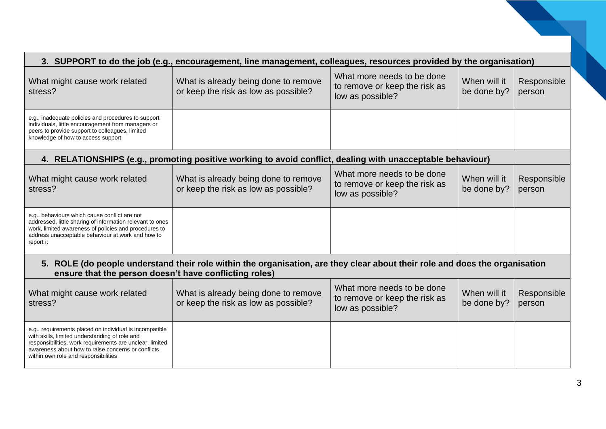| 3. SUPPORT to do the job (e.g., encouragement, line management, colleagues, resources provided by the organisation)                                                                                                                                                 |                                                                              |                                                                                 |                             |                       |  |
|---------------------------------------------------------------------------------------------------------------------------------------------------------------------------------------------------------------------------------------------------------------------|------------------------------------------------------------------------------|---------------------------------------------------------------------------------|-----------------------------|-----------------------|--|
| What might cause work related<br>stress?                                                                                                                                                                                                                            | What is already being done to remove<br>or keep the risk as low as possible? | What more needs to be done<br>to remove or keep the risk as<br>low as possible? | When will it<br>be done by? | Responsible<br>person |  |
| e.g., inadequate policies and procedures to support<br>individuals, little encouragement from managers or<br>peers to provide support to colleagues, limited<br>knowledge of how to access support                                                                  |                                                                              |                                                                                 |                             |                       |  |
| 4. RELATIONSHIPS (e.g., promoting positive working to avoid conflict, dealing with unacceptable behaviour)                                                                                                                                                          |                                                                              |                                                                                 |                             |                       |  |
| What might cause work related<br>stress?                                                                                                                                                                                                                            | What is already being done to remove<br>or keep the risk as low as possible? | What more needs to be done<br>to remove or keep the risk as<br>low as possible? | When will it<br>be done by? | Responsible<br>person |  |
| e.g., behaviours which cause conflict are not<br>addressed, little sharing of information relevant to ones<br>work, limited awareness of policies and procedures to<br>address unacceptable behaviour at work and how to<br>report it                               |                                                                              |                                                                                 |                             |                       |  |
| 5. ROLE (do people understand their role within the organisation, are they clear about their role and does the organisation<br>ensure that the person doesn't have conflicting roles)                                                                               |                                                                              |                                                                                 |                             |                       |  |
| What might cause work related<br>stress?                                                                                                                                                                                                                            | What is already being done to remove<br>or keep the risk as low as possible? | What more needs to be done<br>to remove or keep the risk as<br>low as possible? | When will it<br>be done by? | Responsible<br>person |  |
| e.g., requirements placed on individual is incompatible<br>with skills, limited understanding of role and<br>responsibilities, work requirements are unclear, limited<br>awareness about how to raise concerns or conflicts<br>within own role and responsibilities |                                                                              |                                                                                 |                             |                       |  |